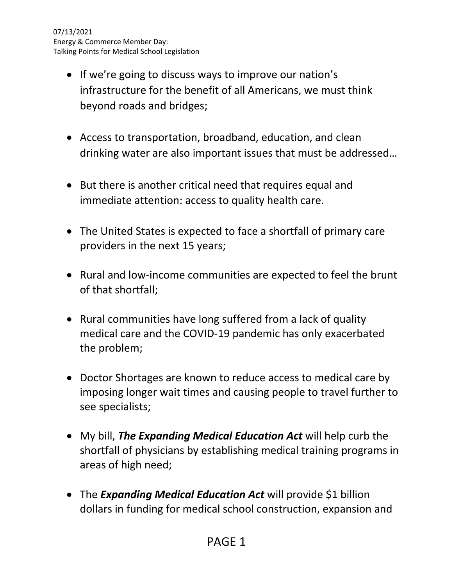- If we're going to discuss ways to improve our nation's infrastructure for the benefit of all Americans, we must think beyond roads and bridges;
- Access to transportation, broadband, education, and clean drinking water are also important issues that must be addressed…
- But there is another critical need that requires equal and immediate attention: access to quality health care.
- The United States is expected to face a shortfall of primary care providers in the next 15 years;
- Rural and low-income communities are expected to feel the brunt of that shortfall;
- Rural communities have long suffered from a lack of quality medical care and the COVID-19 pandemic has only exacerbated the problem;
- Doctor Shortages are known to reduce access to medical care by imposing longer wait times and causing people to travel further to see specialists;
- My bill, *The Expanding Medical Education Act* will help curb the shortfall of physicians by establishing medical training programs in areas of high need;
- The *[Expanding Medical Education Act](https://iqconnect.house.gov/iqextranet/iqClickTrk.aspx?&cid=CA16JC&crop=15467QQQ15647565QQQ5241098QQQ7263404&report_id=&redirect=https%3a%2f%2fcosta.house.gov%2fmedia-center%2fpress-releases%2fcosta-introduces-bill-curb-physician-shortfall-san-joaquin-valley&redir_log=838645334433828)* will provide \$1 billion dollars in funding for medical school construction, expansion and